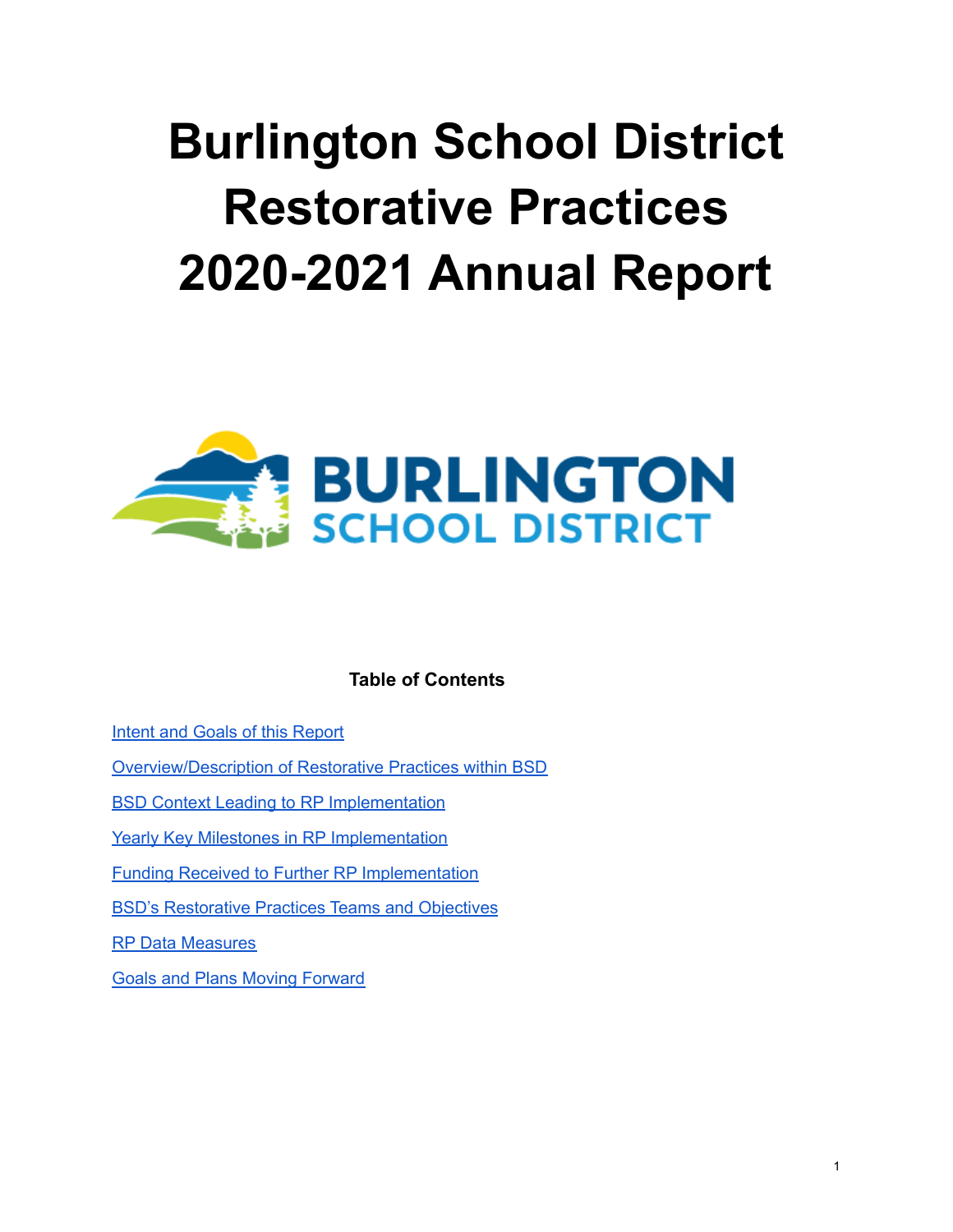# **Burlington School District Restorative Practices 2020-2021 Annual Report**



## **Table of Contents**

Intent and Goals of this [Report](#page-1-0)

[Overview/Description](#page-1-1) of Restorative Practices within BSD

BSD Context Leading to RP [Implementation](#page-1-2)

Yearly Key Milestones in RP [Implementation](#page-3-0)

Funding Received to Further RP [Implementation](#page-3-1)

BSD's [Restorative](#page-3-2) Practices Teams and Objectives

RP Data [Measures](#page-4-0)

Goals and Plans Moving [Forward](#page-7-0)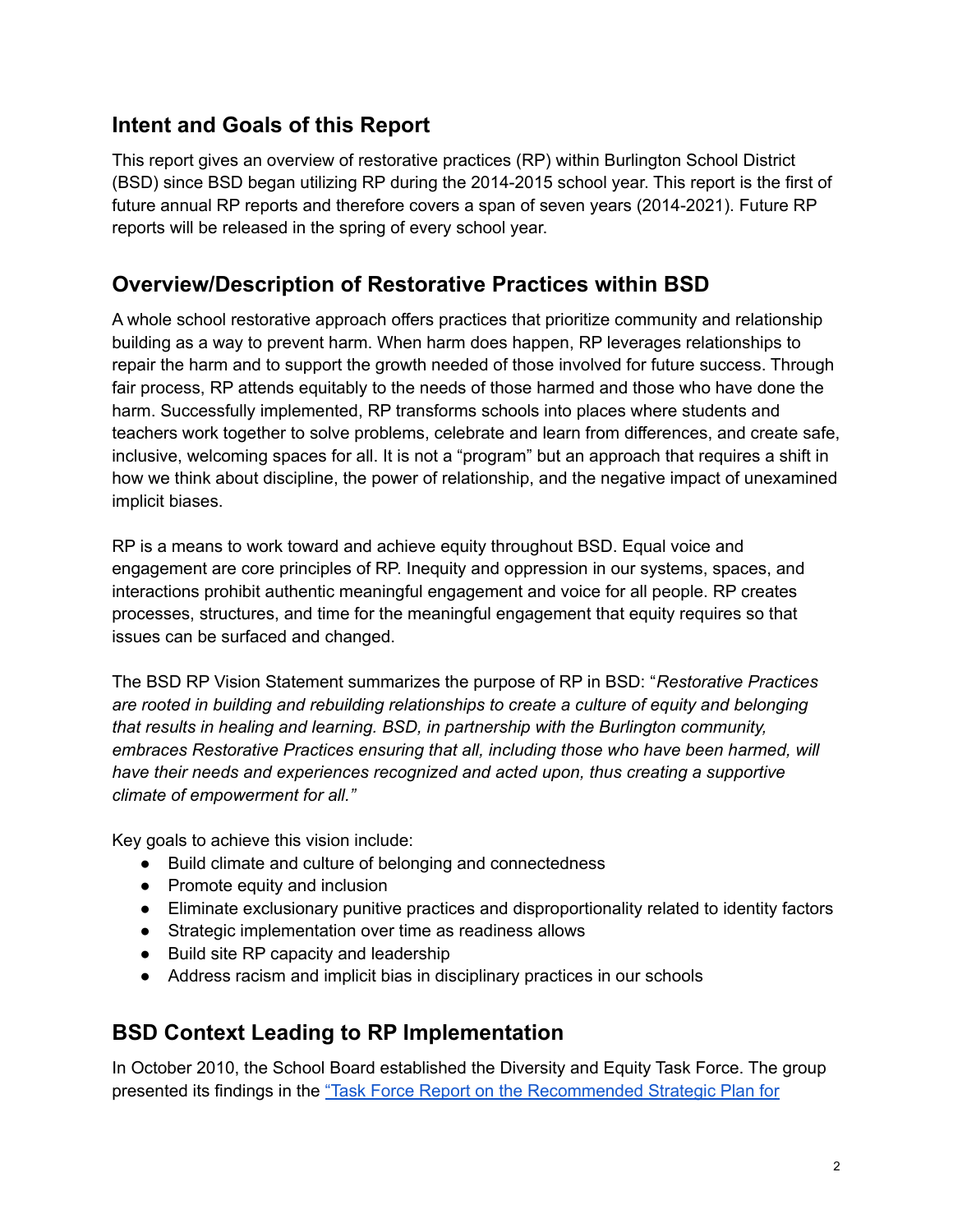# <span id="page-1-0"></span>**Intent and Goals of this Report**

This report gives an overview of restorative practices (RP) within Burlington School District (BSD) since BSD began utilizing RP during the 2014-2015 school year. This report is the first of future annual RP reports and therefore covers a span of seven years (2014-2021). Future RP reports will be released in the spring of every school year.

# <span id="page-1-1"></span>**Overview/Description of Restorative Practices within BSD**

A whole school restorative approach offers practices that prioritize community and relationship building as a way to prevent harm. When harm does happen, RP leverages relationships to repair the harm and to support the growth needed of those involved for future success. Through fair process, RP attends equitably to the needs of those harmed and those who have done the harm. Successfully implemented, RP transforms schools into places where students and teachers work together to solve problems, celebrate and learn from differences, and create safe, inclusive, welcoming spaces for all. It is not a "program" but an approach that requires a shift in how we think about discipline, the power of relationship, and the negative impact of unexamined implicit biases.

RP is a means to work toward and achieve equity throughout BSD. Equal voice and engagement are core principles of RP. Inequity and oppression in our systems, spaces, and interactions prohibit authentic meaningful engagement and voice for all people. RP creates processes, structures, and time for the meaningful engagement that equity requires so that issues can be surfaced and changed.

The BSD RP Vision Statement summarizes the purpose of RP in BSD: "*Restorative Practices are rooted in building and rebuilding relationships to create a culture of equity and belonging that results in healing and learning. BSD, in partnership with the Burlington community, embraces Restorative Practices ensuring that all, including those who have been harmed, will have their needs and experiences recognized and acted upon, thus creating a supportive climate of empowerment for all."*

Key goals to achieve this vision include:

- Build climate and culture of belonging and connectedness
- Promote equity and inclusion
- Eliminate exclusionary punitive practices and disproportionality related to identity factors
- Strategic implementation over time as readiness allows
- Build site RP capacity and leadership
- Address racism and implicit bias in disciplinary practices in our schools

# <span id="page-1-2"></span>**BSD Context Leading to RP Implementation**

In October 2010, the School Board established the Diversity and Equity Task Force. The group presented its findings in the "Task Force Report on the [Recommended](https://drive.google.com/file/d/15YOw4Q6IF-c_zyAP_3Oy8pXkjyzGBewF/view?usp=sharing) Strategic Plan for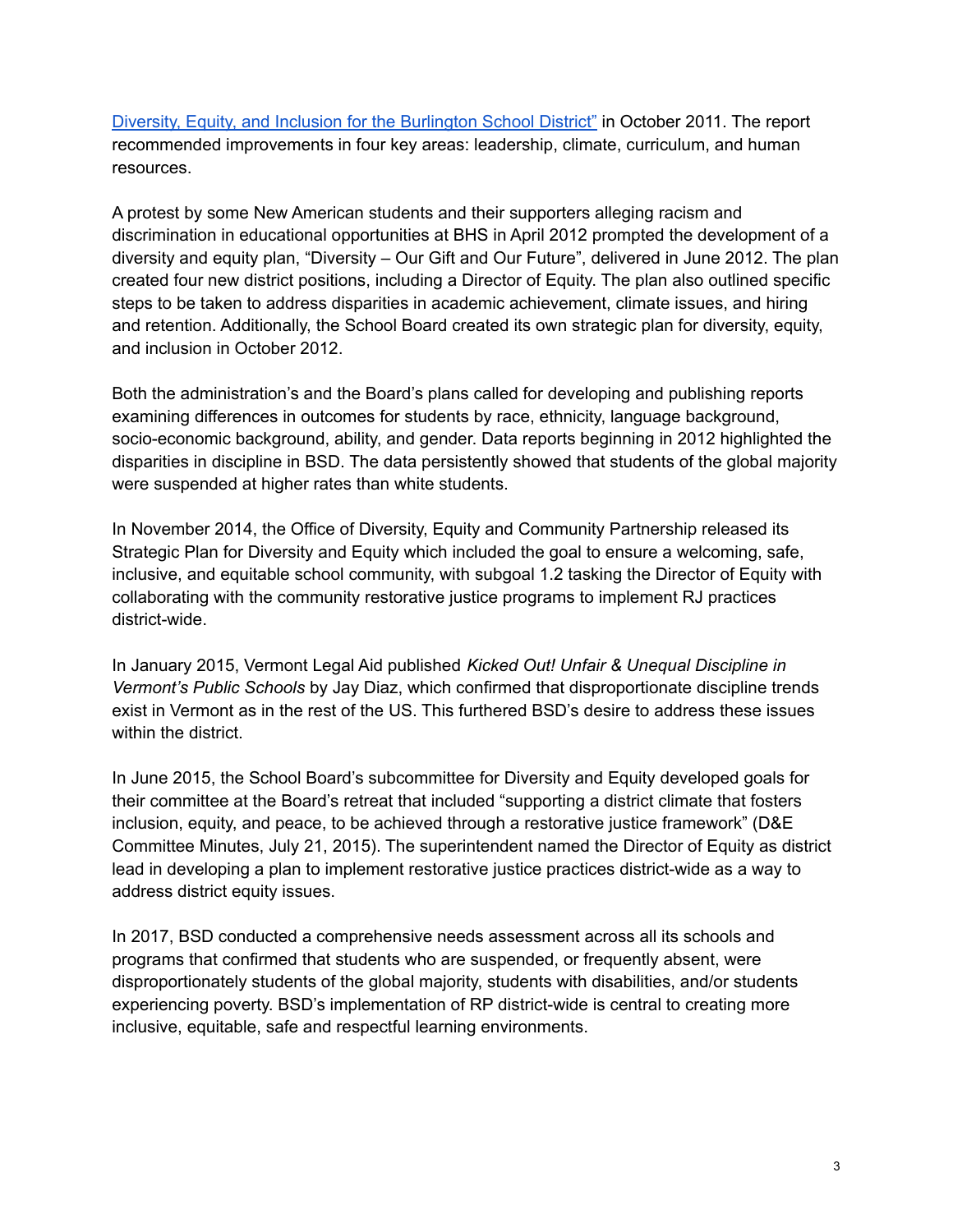Diversity, Equity, and Inclusion for the [Burlington](https://drive.google.com/file/d/15YOw4Q6IF-c_zyAP_3Oy8pXkjyzGBewF/view?usp=sharing) School District" in October 2011. The report recommended improvements in four key areas: leadership, climate, curriculum, and human resources.

A protest by some New American students and their supporters alleging racism and discrimination in educational opportunities at BHS in April 2012 prompted the development of a diversity and equity plan, "Diversity – Our Gift and Our Future", delivered in June 2012. The plan created four new district positions, including a Director of Equity. The plan also outlined specific steps to be taken to address disparities in academic achievement, climate issues, and hiring and retention. Additionally, the School Board created its own strategic plan for diversity, equity, and inclusion in October 2012.

Both the administration's and the Board's plans called for developing and publishing reports examining differences in outcomes for students by race, ethnicity, language background, socio-economic background, ability, and gender. Data reports beginning in 2012 highlighted the disparities in discipline in BSD. The data persistently showed that students of the global majority were suspended at higher rates than white students.

In November 2014, the Office of Diversity, Equity and Community Partnership released its Strategic Plan for Diversity and Equity which included the goal to ensure a welcoming, safe, inclusive, and equitable school community, with subgoal 1.2 tasking the Director of Equity with collaborating with the community restorative justice programs to implement RJ practices district-wide.

In January 2015, Vermont Legal Aid published *Kicked Out! Unfair & Unequal Discipline in Vermont's Public Schools* by Jay Diaz, which confirmed that disproportionate discipline trends exist in Vermont as in the rest of the US. This furthered BSD's desire to address these issues within the district.

In June 2015, the School Board's subcommittee for Diversity and Equity developed goals for their committee at the Board's retreat that included "supporting a district climate that fosters inclusion, equity, and peace, to be achieved through a restorative justice framework" (D&E Committee Minutes, July 21, 2015). The superintendent named the Director of Equity as district lead in developing a plan to implement restorative justice practices district-wide as a way to address district equity issues.

In 2017, BSD conducted a comprehensive needs assessment across all its schools and programs that confirmed that students who are suspended, or frequently absent, were disproportionately students of the global majority, students with disabilities, and/or students experiencing poverty. BSD's implementation of RP district-wide is central to creating more inclusive, equitable, safe and respectful learning environments.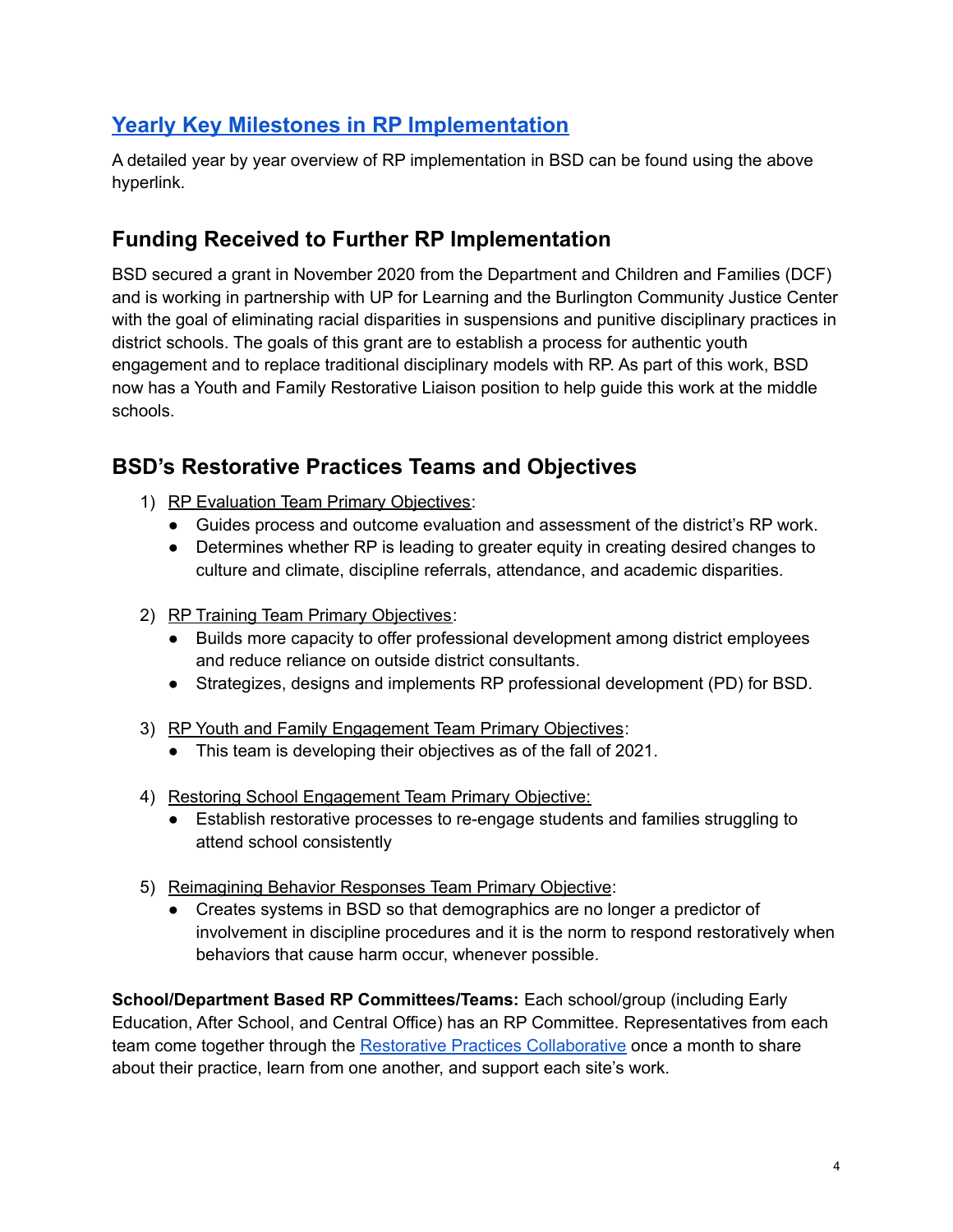# <span id="page-3-0"></span>**Yearly Key Milestones in RP [Implementation](https://docs.google.com/document/d/1xt5j-1t5_vTbSZnrlVavliJZhWVWjNE4ftYlAKDIJL8/edit?usp=sharing)**

A detailed year by year overview of RP implementation in BSD can be found using the above hyperlink.

# <span id="page-3-1"></span>**Funding Received to Further RP Implementation**

BSD secured a grant in November 2020 from the Department and Children and Families (DCF) and is working in partnership with UP for Learning and the Burlington Community Justice Center with the goal of eliminating racial disparities in suspensions and punitive disciplinary practices in district schools. The goals of this grant are to establish a process for authentic youth engagement and to replace traditional disciplinary models with RP. As part of this work, BSD now has a Youth and Family Restorative Liaison position to help guide this work at the middle schools.

# <span id="page-3-2"></span>**BSD's Restorative Practices Teams and Objectives**

- 1) RP Evaluation Team Primary Objectives:
	- Guides process and outcome evaluation and assessment of the district's RP work.
	- Determines whether RP is leading to greater equity in creating desired changes to culture and climate, discipline referrals, attendance, and academic disparities.
- 2) RP Training Team Primary Objectives:
	- Builds more capacity to offer professional development among district employees and reduce reliance on outside district consultants.
	- Strategizes, designs and implements RP professional development (PD) for BSD.
- 3) RP Youth and Family Engagement Team Primary Objectives:
	- This team is developing their objectives as of the fall of 2021.
- 4) Restoring School Engagement Team Primary Objective:
	- Establish restorative processes to re-engage students and families struggling to attend school consistently
- 5) Reimagining Behavior Responses Team Primary Objective:
	- Creates systems in BSD so that demographics are no longer a predictor of involvement in discipline procedures and it is the norm to respond restoratively when behaviors that cause harm occur, whenever possible.

**School/Department Based RP Committees/Teams:** Each school/group (including Early Education, After School, and Central Office) has an RP Committee. Representatives from each team come together through the Restorative Practices [Collaborative](https://www.bsdvt.org/district/diversity-and-equity/restorative-practices-collaborative/) once a month to share about their practice, learn from one another, and support each site's work.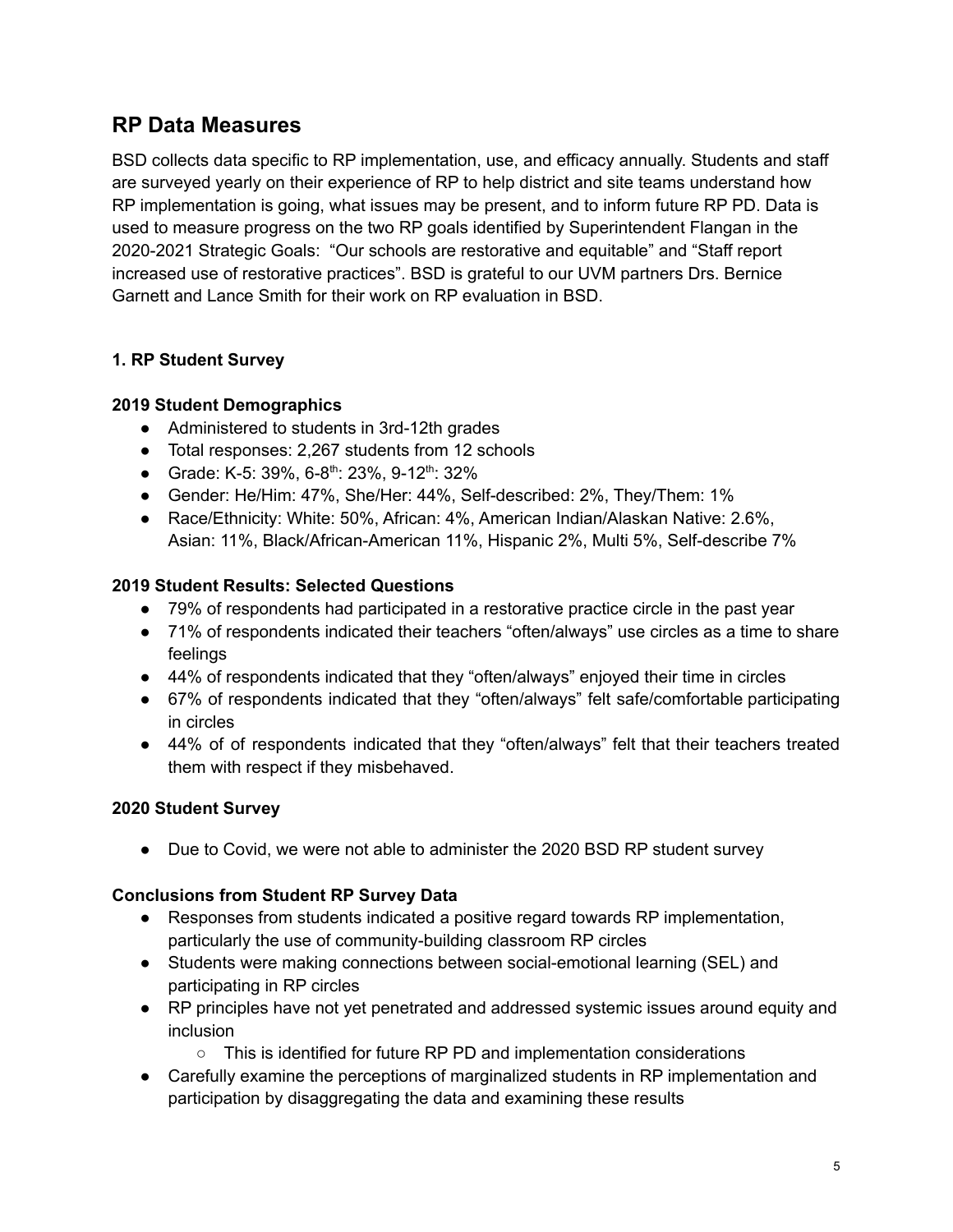# <span id="page-4-0"></span>**RP Data Measures**

BSD collects data specific to RP implementation, use, and efficacy annually. Students and staff are surveyed yearly on their experience of RP to help district and site teams understand how RP implementation is going, what issues may be present, and to inform future RP PD. Data is used to measure progress on the two RP goals identified by Superintendent Flangan in the 2020-2021 Strategic Goals: "Our schools are restorative and equitable" and "Staff report increased use of restorative practices". BSD is grateful to our UVM partners Drs. Bernice Garnett and Lance Smith for their work on RP evaluation in BSD.

## **1. RP Student Survey**

## **2019 Student Demographics**

- Administered to students in 3rd-12th grades
- Total responses: 2,267 students from 12 schools
- Grade: K-5: 39%, 6-8<sup>th</sup>: 23%, 9-12<sup>th</sup>: 32%
- Gender: He/Him: 47%, She/Her: 44%, Self-described: 2%, They/Them: 1%
- Race/Ethnicity: White: 50%, African: 4%, American Indian/Alaskan Native: 2.6%, Asian: 11%, Black/African-American 11%, Hispanic 2%, Multi 5%, Self-describe 7%

## **2019 Student Results: Selected Questions**

- 79% of respondents had participated in a restorative practice circle in the past year
- 71% of respondents indicated their teachers "often/always" use circles as a time to share feelings
- 44% of respondents indicated that they "often/always" enjoyed their time in circles
- 67% of respondents indicated that they "often/always" felt safe/comfortable participating in circles
- 44% of of respondents indicated that they "often/always" felt that their teachers treated them with respect if they misbehaved.

## **2020 Student Survey**

• Due to Covid, we were not able to administer the 2020 BSD RP student survey

## **Conclusions from Student RP Survey Data**

- Responses from students indicated a positive regard towards RP implementation, particularly the use of community-building classroom RP circles
- Students were making connections between social-emotional learning (SEL) and participating in RP circles
- RP principles have not yet penetrated and addressed systemic issues around equity and inclusion
	- This is identified for future RP PD and implementation considerations
- Carefully examine the perceptions of marginalized students in RP implementation and participation by disaggregating the data and examining these results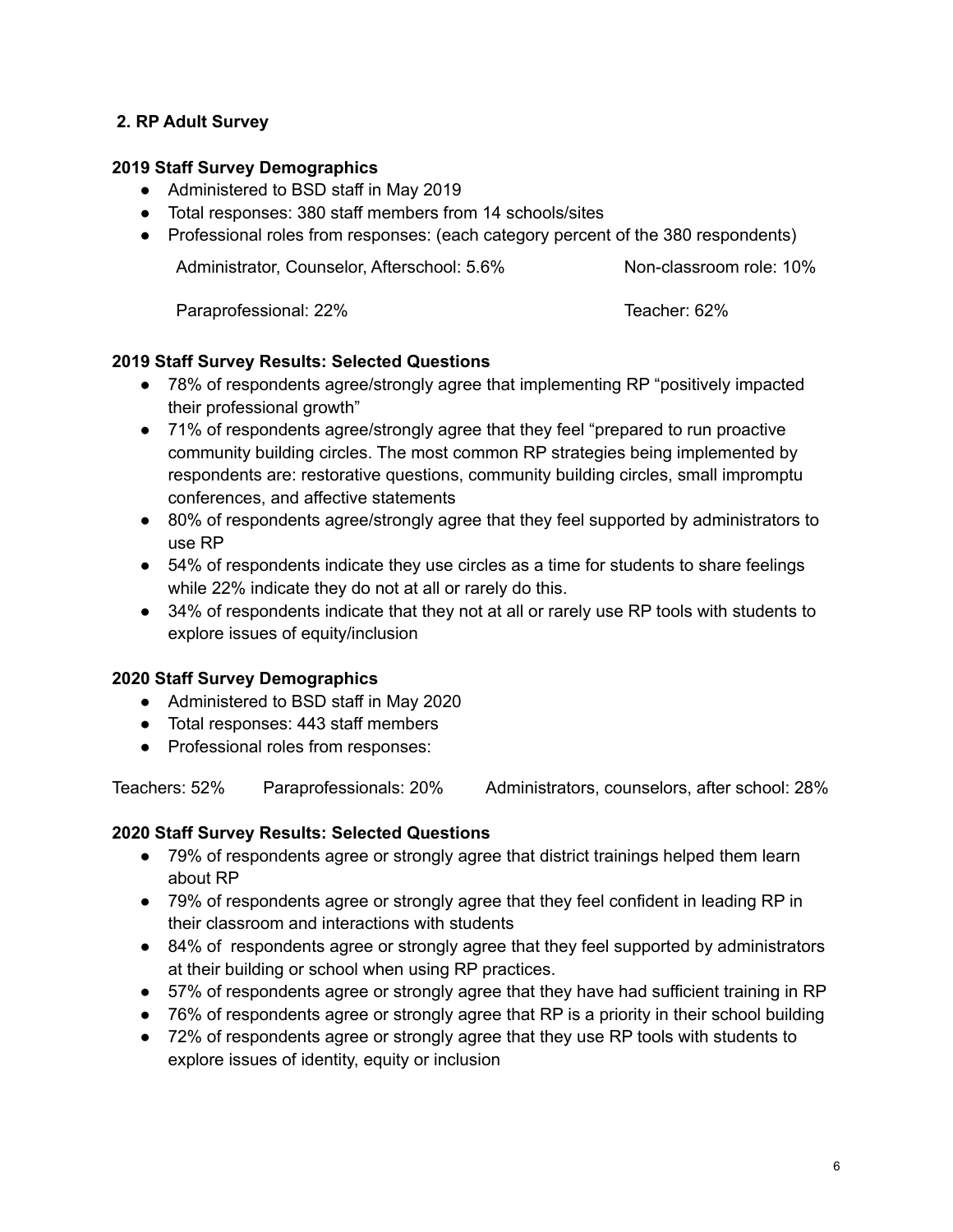## **2. RP Adult Survey**

#### **2019 Staff Survey Demographics**

- Administered to BSD staff in May 2019
- Total responses: 380 staff members from 14 schools/sites
- **●** Professional roles from responses: (each category percent of the 380 respondents)

Administrator, Counselor, Afterschool: 5.6% Non-classroom role: 10%

Paraprofessional: 22% Teacher: 62%

#### **2019 Staff Survey Results: Selected Questions**

- 78% of respondents agree/strongly agree that implementing RP "positively impacted their professional growth"
- 71% of respondents agree/strongly agree that they feel "prepared to run proactive community building circles. The most common RP strategies being implemented by respondents are: restorative questions, community building circles, small impromptu conferences, and affective statements
- 80% of respondents agree/strongly agree that they feel supported by administrators to use RP
- 54% of respondents indicate they use circles as a time for students to share feelings while 22% indicate they do not at all or rarely do this.
- 34% of respondents indicate that they not at all or rarely use RP tools with students to explore issues of equity/inclusion

## **2020 Staff Survey Demographics**

- Administered to BSD staff in May 2020
- Total responses: 443 staff members
- **●** Professional roles from responses:

Teachers: 52% Paraprofessionals: 20% Administrators, counselors, after school: 28%

## **2020 Staff Survey Results: Selected Questions**

- 79% of respondents agree or strongly agree that district trainings helped them learn about RP
- 79% of respondents agree or strongly agree that they feel confident in leading RP in their classroom and interactions with students
- 84% of respondents agree or strongly agree that they feel supported by administrators at their building or school when using RP practices.
- 57% of respondents agree or strongly agree that they have had sufficient training in RP
- 76% of respondents agree or strongly agree that RP is a priority in their school building
- 72% of respondents agree or strongly agree that they use RP tools with students to explore issues of identity, equity or inclusion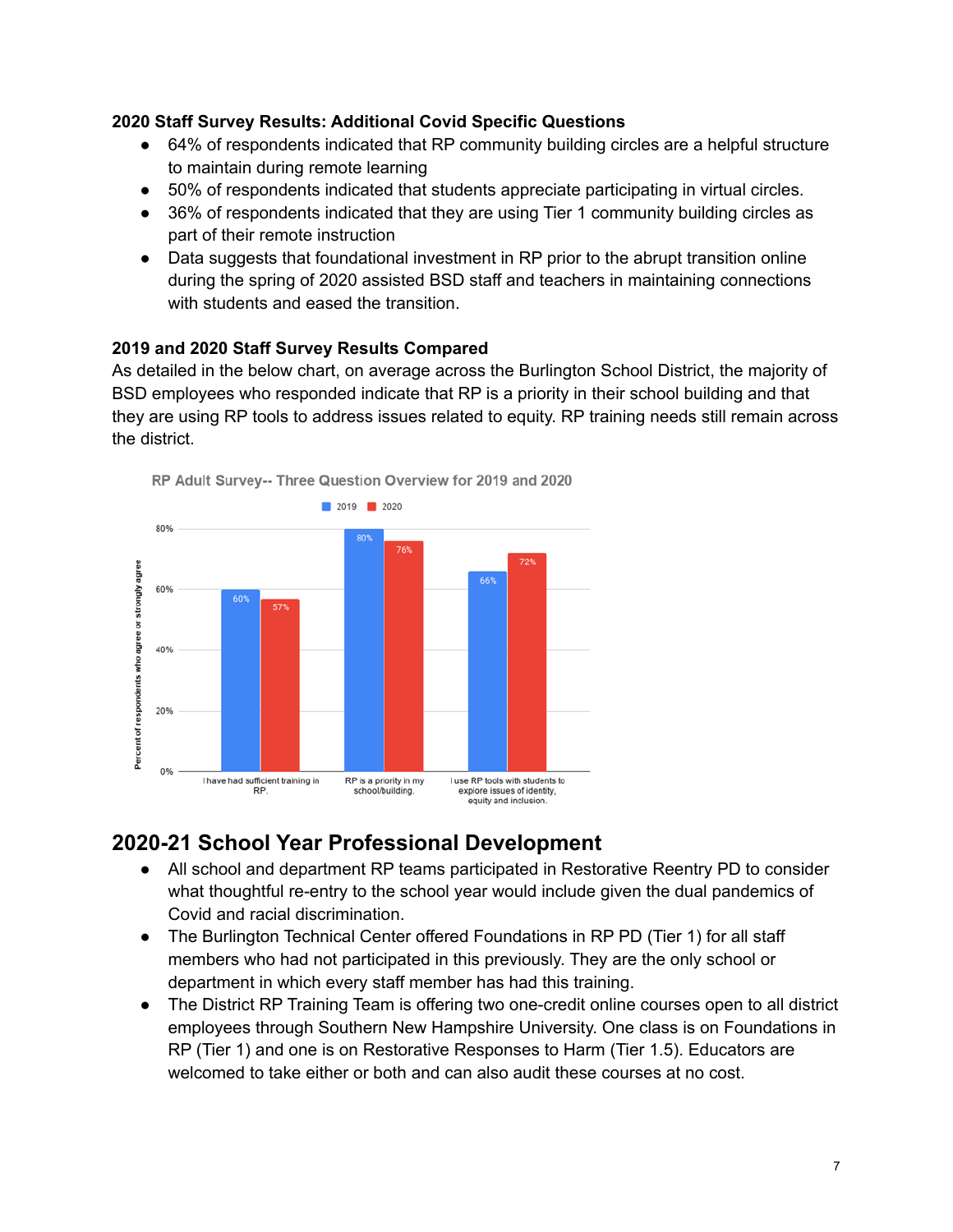#### **2020 Staff Survey Results: Additional Covid Specific Questions**

- 64% of respondents indicated that RP community building circles are a helpful structure to maintain during remote learning
- 50% of respondents indicated that students appreciate participating in virtual circles.
- 36% of respondents indicated that they are using Tier 1 community building circles as part of their remote instruction
- Data suggests that foundational investment in RP prior to the abrupt transition online during the spring of 2020 assisted BSD staff and teachers in maintaining connections with students and eased the transition.

#### **2019 and 2020 Staff Survey Results Compared**

As detailed in the below chart, on average across the Burlington School District, the majority of BSD employees who responded indicate that RP is a priority in their school building and that they are using RP tools to address issues related to equity. RP training needs still remain across the district.



# **2020-21 School Year Professional Development**

- All school and department RP teams participated in Restorative Reentry PD to consider what thoughtful re-entry to the school year would include given the dual pandemics of Covid and racial discrimination.
- The Burlington Technical Center offered Foundations in RP PD (Tier 1) for all staff members who had not participated in this previously. They are the only school or department in which every staff member has had this training.
- The District RP Training Team is offering two one-credit online courses open to all district employees through Southern New Hampshire University. One class is on Foundations in RP (Tier 1) and one is on Restorative Responses to Harm (Tier 1.5). Educators are welcomed to take either or both and can also audit these courses at no cost.